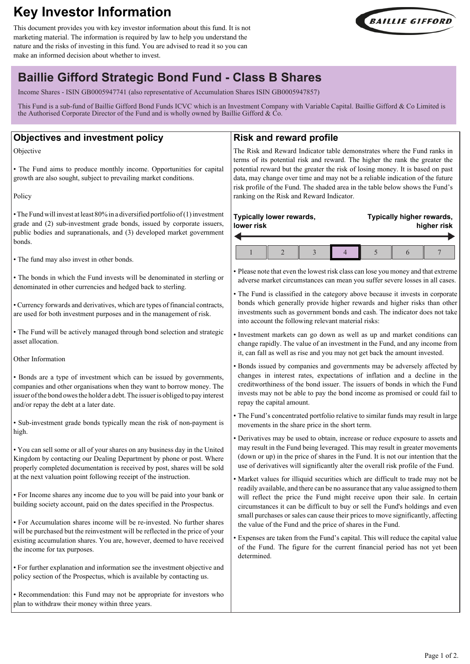# **Key Investor Information**

This document provides you with key investor information about this fund. It is not marketing material. The information is required by law to help you understand the nature and the risks of investing in this fund. You are advised to read it so you can make an informed decision about whether to invest.



# **Baillie Gifford Strategic Bond Fund - Class B Shares**

Income Shares - ISIN GB0005947741 (also representative of Accumulation Shares ISIN GB0005947857)

This Fund is a sub-fund of Baillie Gifford Bond Funds ICVC which is an Investment Company with Variable Capital. Baillie Gifford & Co Limited is the Authorised Corporate Director of the Fund and is wholly owned by Baillie Gifford &  $\dot{C}$ o.

## **Objectives and investment policy**

Objective

• The Fund aims to produce monthly income. Opportunities for capital growth are also sought, subject to prevailing market conditions.

Policy

• The Fund will invest at least 80% in a diversified portfolio of (1) investment grade and (2) sub-investment grade bonds, issued by corporate issuers, public bodies and supranationals, and (3) developed market government bonds.

• The fund may also invest in other bonds.

• The bonds in which the Fund invests will be denominated in sterling or denominated in other currencies and hedged back to sterling.

• Currency forwards and derivatives, which are types of financial contracts, are used for both investment purposes and in the management of risk.

• The Fund will be actively managed through bond selection and strategic asset allocation.

#### Other Information

• Bonds are a type of investment which can be issued by governments, companies and other organisations when they want to borrow money. The issuer of the bond owes the holder a debt. The issuer is obliged to pay interest and/or repay the debt at a later date.

• Sub-investment grade bonds typically mean the risk of non-payment is high.

• You can sell some or all of your shares on any business day in the United Kingdom by contacting our Dealing Department by phone or post. Where properly completed documentation is received by post, shares will be sold at the next valuation point following receipt of the instruction.

• For Income shares any income due to you will be paid into your bank or building society account, paid on the dates specified in the Prospectus.

• For Accumulation shares income will be re-invested. No further shares will be purchased but the reinvestment will be reflected in the price of your existing accumulation shares. You are, however, deemed to have received the income for tax purposes.

• For further explanation and information see the investment objective and policy section of the Prospectus, which is available by contacting us.

• Recommendation: this Fund may not be appropriate for investors who plan to withdraw their money within three years.

## **Risk and reward profile**

The Risk and Reward Indicator table demonstrates where the Fund ranks in terms of its potential risk and reward. The higher the rank the greater the potential reward but the greater the risk of losing money. It is based on past data, may change over time and may not be a reliable indication of the future risk profile of the Fund. The shaded area in the table below shows the Fund's ranking on the Risk and Reward Indicator.

#### **Typically lower rewards, lower risk Typically higher rewards, higher risk**  $1 \parallel 2 \parallel 3 \parallel 4 \parallel 5 \parallel 6 \parallel 7$

• Please note that even the lowest risk class can lose you money and that extreme adverse market circumstances can mean you suffer severe losses in all cases.

• The Fund is classified in the category above because it invests in corporate bonds which generally provide higher rewards and higher risks than other investments such as government bonds and cash. The indicator does not take into account the following relevant material risks:

• Investment markets can go down as well as up and market conditions can change rapidly. The value of an investment in the Fund, and any income from it, can fall as well as rise and you may not get back the amount invested.

• Bonds issued by companies and governments may be adversely affected by changes in interest rates, expectations of inflation and a decline in the creditworthiness of the bond issuer. The issuers of bonds in which the Fund invests may not be able to pay the bond income as promised or could fail to repay the capital amount.

• The Fund's concentrated portfolio relative to similar funds may result in large movements in the share price in the short term.

• Derivatives may be used to obtain, increase or reduce exposure to assets and may result in the Fund being leveraged. This may result in greater movements (down or up) in the price of shares in the Fund. It is not our intention that the use of derivatives will significantly alter the overall risk profile of the Fund.

• Market values for illiquid securities which are difficult to trade may not be readily available, and there can be no assurance that any value assigned to them will reflect the price the Fund might receive upon their sale. In certain circumstances it can be difficult to buy or sell the Fund's holdings and even small purchases or sales can cause their prices to move significantly, affecting the value of the Fund and the price of shares in the Fund.

• Expenses are taken from the Fund's capital. This will reduce the capital value of the Fund. The figure for the current financial period has not yet been determined.